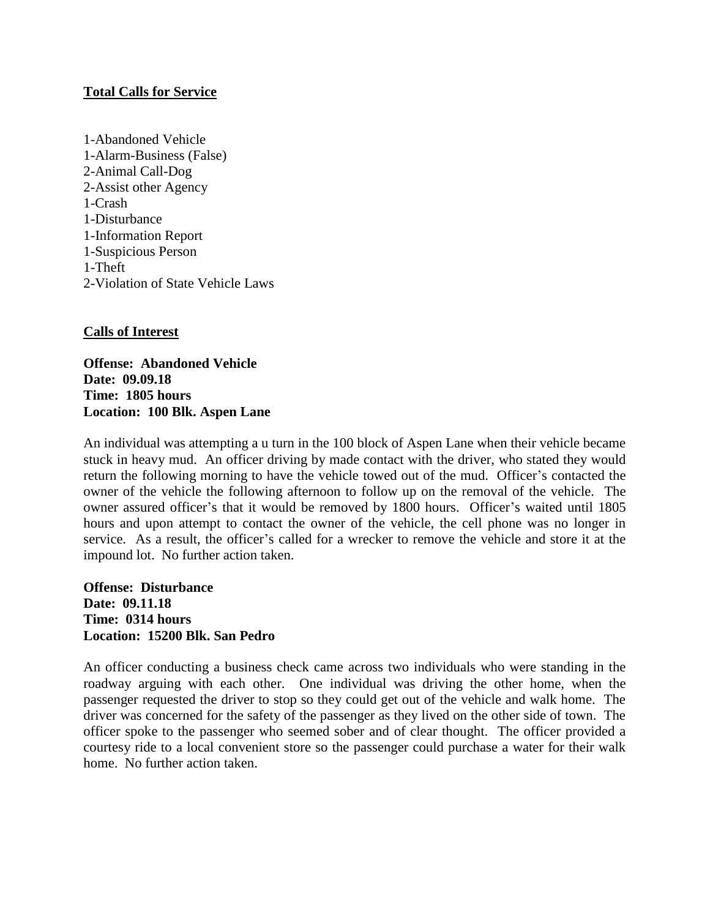### **Total Calls for Service**

1-Abandoned Vehicle 1-Alarm-Business (False) 2-Animal Call-Dog 2-Assist other Agency 1-Crash 1-Disturbance 1-Information Report 1-Suspicious Person 1-Theft 2-Violation of State Vehicle Laws

# **Calls of Interest**

**Offense: Abandoned Vehicle Date: 09.09.18 Time: 1805 hours Location: 100 Blk. Aspen Lane**

An individual was attempting a u turn in the 100 block of Aspen Lane when their vehicle became stuck in heavy mud. An officer driving by made contact with the driver, who stated they would return the following morning to have the vehicle towed out of the mud. Officer's contacted the owner of the vehicle the following afternoon to follow up on the removal of the vehicle. The owner assured officer's that it would be removed by 1800 hours. Officer's waited until 1805 hours and upon attempt to contact the owner of the vehicle, the cell phone was no longer in service. As a result, the officer's called for a wrecker to remove the vehicle and store it at the impound lot. No further action taken.

**Offense: Disturbance Date: 09.11.18 Time: 0314 hours Location: 15200 Blk. San Pedro**

An officer conducting a business check came across two individuals who were standing in the roadway arguing with each other. One individual was driving the other home, when the passenger requested the driver to stop so they could get out of the vehicle and walk home. The driver was concerned for the safety of the passenger as they lived on the other side of town. The officer spoke to the passenger who seemed sober and of clear thought. The officer provided a courtesy ride to a local convenient store so the passenger could purchase a water for their walk home. No further action taken.